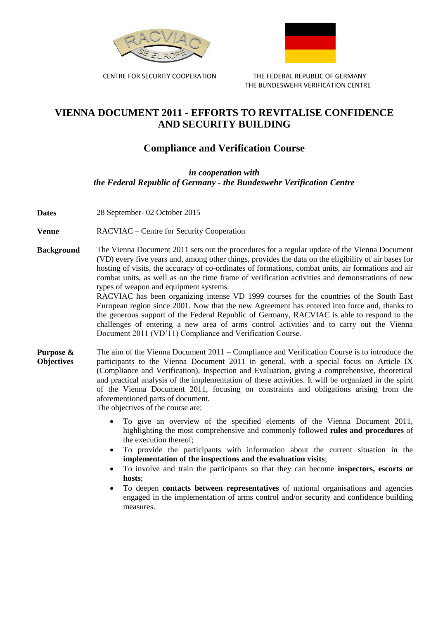



 CENTRE FOR SECURITY COOPERATION THE FEDERAL REPUBLIC OF GERMANY THE BUNDESWEHR VERIFICATION CENTRE

## **VIENNA DOCUMENT 2011 - EFFORTS TO REVITALISE CONFIDENCE AND SECURITY BUILDING**

## **Compliance and Verification Course**

*in cooperation with the Federal Republic of Germany - the Bundeswehr Verification Centre*

- **Dates** 28 September- 02 October 2015
- **Venue** RACVIAC Centre for Security Cooperation
- **Background** The Vienna Document 2011 sets out the procedures for a regular update of the Vienna Document (VD) every five years and, among other things, provides the data on the eligibility of air bases for hosting of visits, the accuracy of co-ordinates of formations, combat units, air formations and air combat units, as well as on the time frame of verification activities and demonstrations of new types of weapon and equipment systems.

RACVIAC has been organizing intense VD 1999 courses for the countries of the South East European region since 2001. Now that the new Agreement has entered into force and, thanks to the generous support of the Federal Republic of Germany, RACVIAC is able to respond to the challenges of entering a new area of arms control activities and to carry out the Vienna Document 2011 (VD'11) Compliance and Verification Course.

- **Purpose & Objectives** The aim of the Vienna Document 2011 – Compliance and Verification Course is to introduce the participants to the Vienna Document 2011 in general, with a special focus on Article IX (Compliance and Verification), Inspection and Evaluation, giving a comprehensive, theoretical and practical analysis of the implementation of these activities. It will be organized in the spirit of the Vienna Document 2011, focusing on constraints and obligations arising from the aforementioned parts of document.
	- The objectives of the course are:
		- To give an overview of the specified elements of the Vienna Document 2011, highlighting the most comprehensive and commonly followed **rules and procedures** of the execution thereof;
		- To provide the participants with information about the current situation in the **implementation of the inspections and the evaluation visits**;
		- To involve and train the participants so that they can become **inspectors, escorts or hosts**;
		- To deepen **contacts between representatives** of national organisations and agencies engaged in the implementation of arms control and/or security and confidence building measures.